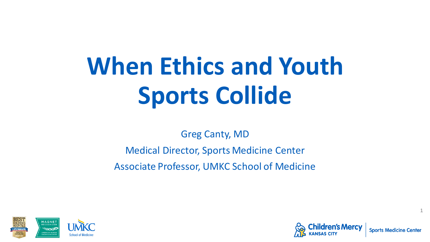# **When Ethics and Youth Sports Collide**

Greg Canty, MD

Medical Director, Sports Medicine Center

Associate Professor, UMKC School of Medicine



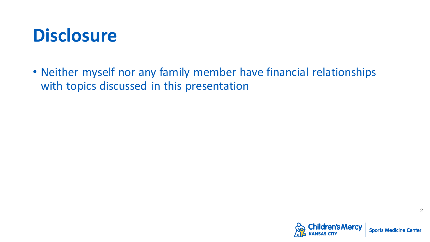#### **Disclosure**

• Neither myself nor any family member have financial relationships with topics discussed in this presentation

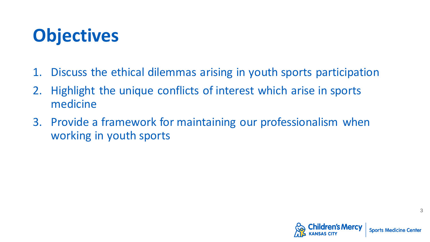## **Objectives**

- 1. Discuss the ethical dilemmas arising in youth sports participation
- 2. Highlight the unique conflicts of interest which arise in sports medicine
- 3. Provide a framework for maintaining our professionalism when working in youth sports

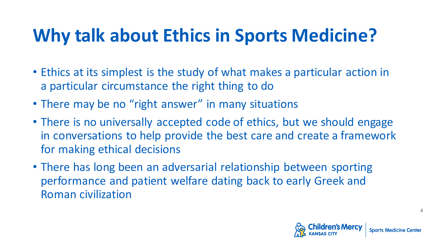## **Why talk about Ethics in Sports Medicine?**

- Ethics at its simplest is the study of what makes a particular action in a particular circumstance the right thing to do
- There may be no "right answer" in many situations
- There is no universally accepted code of ethics, but we should engage in conversations to help provide the best care and create a framework for making ethical decisions
- There has long been an adversarial relationship between sporting performance and patient welfare dating back to early Greek and Roman civilization

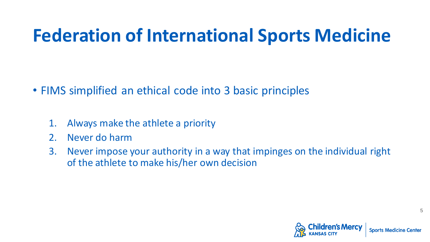#### **Federation of International Sports Medicine**

- FIMS simplified an ethical code into 3 basic principles
	- 1. Always make the athlete a priority
	- 2. Never do harm
	- 3. Never impose your authority in a way that impinges on the individual right of the athlete to make his/her own decision

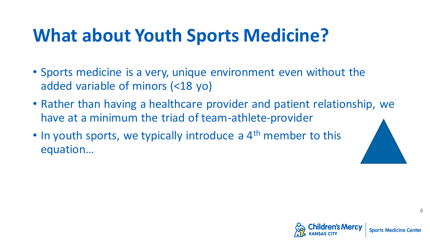## **What about Youth Sports Medicine?**

- Sports medicine is a very, unique environment even without the added variable of minors (<18 yo)
- Rather than having a healthcare provider and patient relationship, we have at a minimum the triad of team-athlete-provider
- $\cdot$  In youth sports, we typically introduce a  $4^{\text{th}}$  member to this equation…



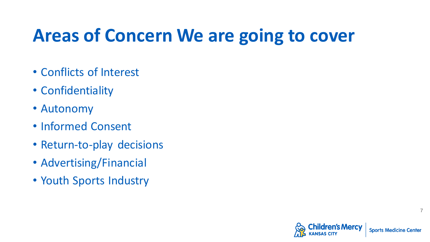## **Areas of Concern We are going to cover**

- Conflicts of Interest
- Confidentiality
- Autonomy
- Informed Consent
- Return-to-play decisions
- Advertising/Financial
- Youth Sports Industry

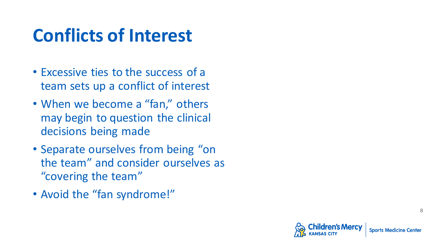#### **Conflicts of Interest**

- Excessive ties to the success of a team sets up a conflict of interest
- When we become a "fan," others may begin to question the clinical decisions being made
- Separate ourselves from being "on the team" and consider ourselves as "covering the team"
- Avoid the "fan syndrome!"

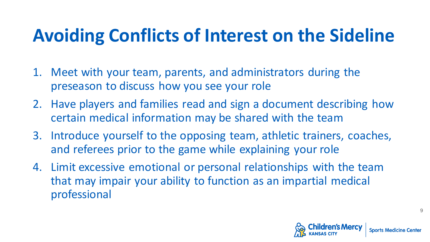## **Avoiding Conflicts of Interest on the Sideline**

- 1. Meet with your team, parents, and administrators during the preseason to discuss how you see your role
- 2. Have players and families read and sign a document describing how certain medical information may be shared with the team
- 3. Introduce yourself to the opposing team, athletic trainers, coaches, and referees prior to the game while explaining your role
- 4. Limit excessive emotional or personal relationships with the team that may impair your ability to function as an impartial medical professional

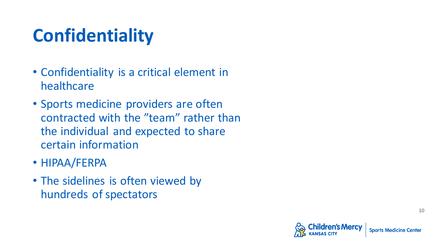# **Confidentiality**

- Confidentiality is a critical element in healthcare
- Sports medicine providers are often contracted with the "team" rather than the individual and expected to share certain information
- HIPAA/FERPA
- The sidelines is often viewed by hundreds of spectators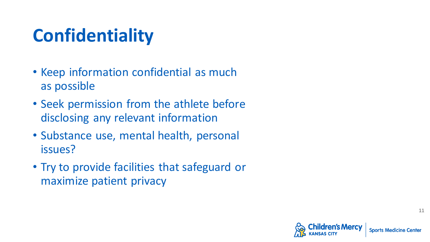# **Confidentiality**

- Keep information confidential as much as possible
- Seek permission from the athlete before disclosing any relevant information
- Substance use, mental health, personal issues?
- Try to provide facilities that safeguard or maximize patient privacy

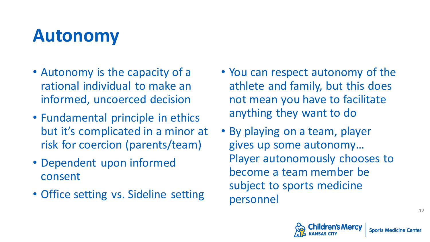#### **Autonomy**

- Autonomy is the capacity of a rational individual to make an informed, uncoerced decision
- Fundamental principle in ethics but it's complicated in a minor at risk for coercion (parents/team)
- Dependent upon informed consent
- Office setting vs. Sideline setting
- You can respect autonomy of the athlete and family, but this does not mean you have to facilitate anything they want to do
- By playing on a team, player gives up some autonomy… Player autonomously chooses to become a team member be subject to sports medicine personnel

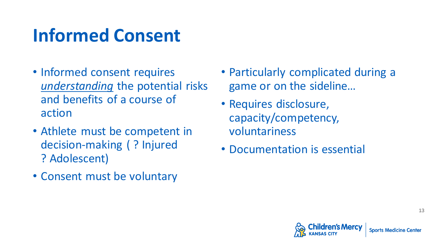## **Informed Consent**

- Informed consent requires *understanding* the potential risks and benefits of a course of action
- Athlete must be competent in decision-making ( ? Injured ? Adolescent)
- Consent must be voluntary
- Particularly complicated during a game or on the sideline…
- Requires disclosure, capacity/competency, voluntariness
- Documentation is essential

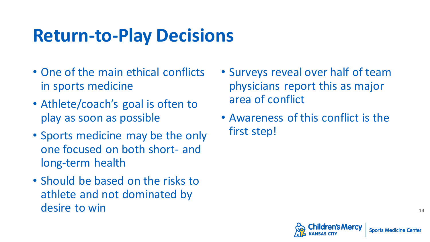#### **Return-to-Play Decisions**

- One of the main ethical conflicts in sports medicine
- Athlete/coach's goal is often to play as soon as possible
- Sports medicine may be the only one focused on both short- and long-term health
- Should be based on the risks to athlete and not dominated by desire to win
- Surveys reveal over half of team physicians report this as major area of conflict
- Awareness of this conflict is the first step!

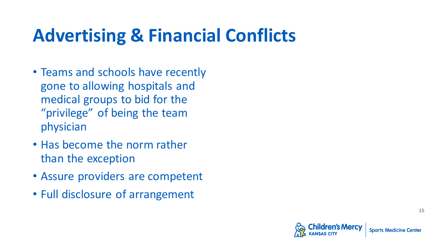## **Advertising & Financial Conflicts**

- Teams and schools have recently gone to allowing hospitals and medical groups to bid for the "privilege" of being the team physician
- Has become the norm rather than the exception
- Assure providers are competent
- Full disclosure of arrangement

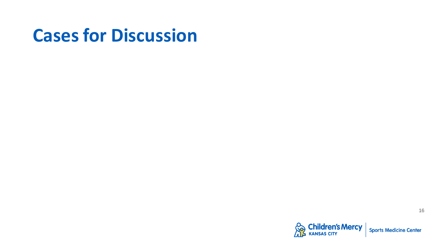#### **Cases for Discussion**

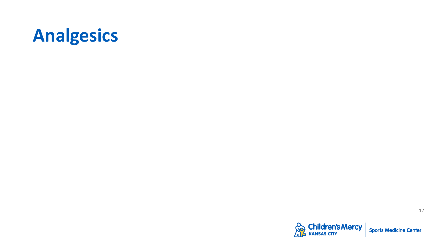

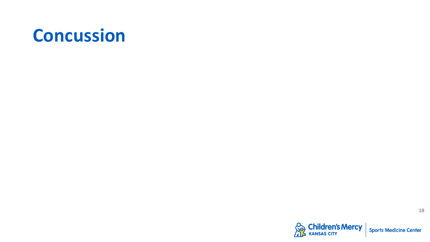#### **Concussion**

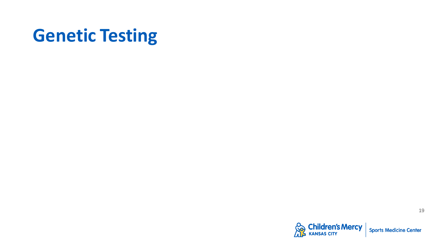#### **Genetic Testing**

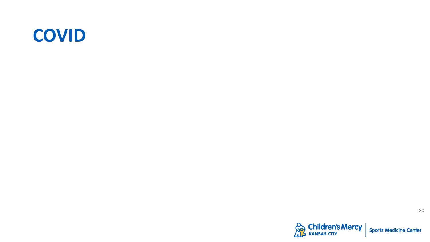#### **COVID**

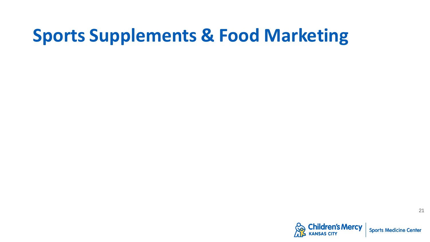#### **Sports Supplements & Food Marketing**

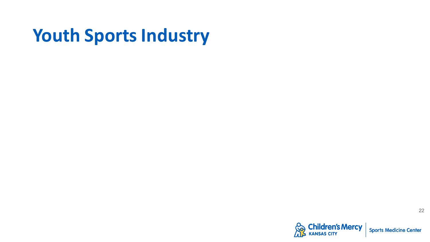#### **Youth Sports Industry**

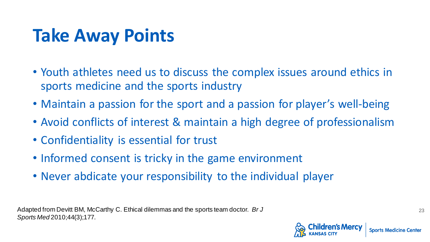## **Take Away Points**

- Youth athletes need us to discuss the complex issues around ethics in sports medicine and the sports industry
- Maintain a passion for the sport and a passion for player's well-being
- Avoid conflicts of interest & maintain a high degree of professionalism
- Confidentiality is essential for trust
- Informed consent is tricky in the game environment
- Never abdicate your responsibility to the individual player